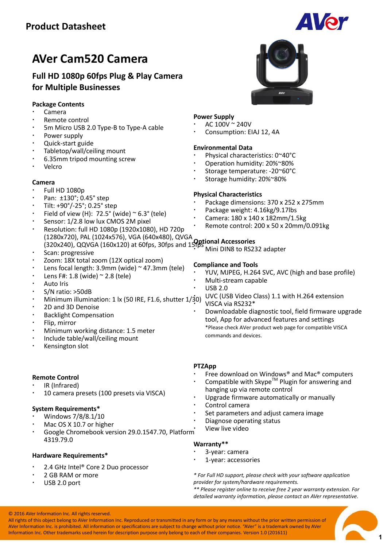

# **Full HD 1080p 60fps Plug & Play Camera for Multiple Businesses**

# **Package Contents**

- Camera
- Remote control
- 5m Micro USB 2.0 Type-B to Type-A cable
- Power supply
- Quick-start guide
- Tabletop/wall/ceiling mount
- 6.35mm tripod mounting screw
- Velcro

#### **Camera**

- Full HD 1080p
- Pan: ±130°; 0.45° step
- Tilt: +90°/-25°; 0.25° step
- Field of view (H):  $72.5^{\circ}$  (wide)  $\sim$  6.3° (tele)
- Sensor: 1/2.8 low lux CMOS 2M pixel
- Resolution: full HD 1080p (1920x1080), HD 720p (1280x720), PAL (1024x576), VGA (640x480), QVGA (320x240), QQVGA (160x120) at 60fps, 30fps and 15fps **Optional Accessories**
- Scan: progressive
- Zoom: 18X total zoom (12X optical zoom)
- Lens focal length: 3.9mm (wide) ~ 47.3mm (tele)
- Lens F#: 1.8 (wide) ~ 2.8 (tele)
- Auto Iris
- S/N ratio: >50dB
- Minimum illumination: 1 lx (50 IRE, F1.6, shutter 1/30)
- 2D and 3D Denoise
- Backlight Compensation
- Flip, mirror
- Minimum working distance: 1.5 meter
- Include table/wall/ceiling mount
- Kensington slot

# **Remote Control**

- IR (Infrared)
- 10 camera presets (100 presets via VISCA)

# **System Requirements\***

- Windows 7/8/8.1/10
- Mac OS X 10.7 or higher
- Google Chromebook version 29.0.1547.70, Platform 4319.79.0

# **Hardware Requirements\***

- 2.4 GHz Intel® Core 2 Duo processor
- 2 GB RAM or more
- USB 2.0 port

# **Power Supply**

- AC 100V ~ 240V
- Consumption: EIAJ 12, 4A

#### **Environmental Data**

- Physical characteristics: 0~40°C
- Operation humidity: 20%~80%
- Storage temperature: -20~60°C
- Storage humidity: 20%~80%

#### **Physical Characteristics**

- Package dimensions: 370 x 252 x 275mm
- Package weight: 4.16kg/9.17lbs
- Camera: 180 x 140 x 182mm/1.5kg
- Remote control: 200 x 50 x 20mm/0.091kg
- Mini DIN8 to RS232 adapter

#### **Compliance and Tools**

- YUV, MJPEG, H.264 SVC, AVC (high and base profile)
- Multi-stream capable
- USB 2.0

 UVC (USB Video Class) 1.1 with H.264 extension VISCA via RS232\*

 Downloadable diagnostic tool, field firmware upgrade tool, App for advanced features and settings \*Please check AVer product web page for compatible VISCA commands and devices.

# **PTZApp**

- Free download on Windows® and Mac® computers
- Compatible with Skype<sup>TM</sup> Plugin for answering and hanging up via remote control
- Upgrade firmware automatically or manually
- Control camera
- Set parameters and adjust camera image
- Diagnose operating status
- View live video

#### **Warranty\*\***

- 3-year: camera
- 1-year: accessories

*\* For Full HD support, please check with your software application provider for system/hardware requirements.*

*\*\* Please register online to receive free 2 year warranty extension. For detailed warranty information, please contact an AVer representative.*

All rights of this object belong to AVer Information Inc. Reproduced or transmitted in any form or by any means without the prior written permission of AVer Information Inc. is prohibited. All information or specifications are subject to change without prior notice. "AVer" is a trademark owned by AVer Information Inc. Other trademarks used herein for description purpose only belong to each of their companies. Version 1.0 (201611)